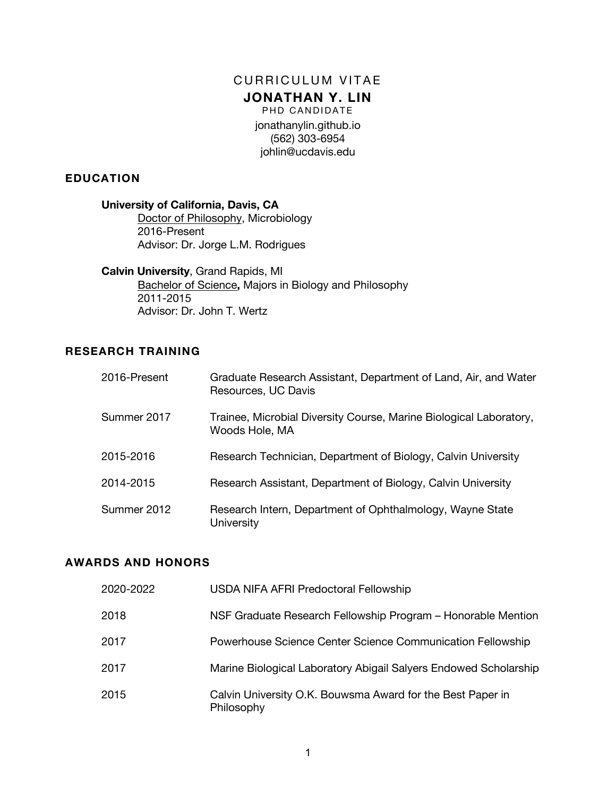# CURRICULUM VITAE **JONATHAN Y. LIN**

PHD CANDIDATE jonathanylin.github.io (562) 303-6954 johlin@ucdavis.edu

#### **EDUCATION**

#### **University of California, Davis, CA**

Doctor of Philosophy, Microbiology 2016-Present Advisor: Dr. Jorge L.M. Rodrigues

#### **Calvin University**, Grand Rapids, MI

Bachelor of Science**,** Majors in Biology and Philosophy 2011-2015 Advisor: Dr. John T. Wertz

# **RESEARCH TRAINING**

| 2016-Present | Graduate Research Assistant, Department of Land, Air, and Water<br>Resources, UC Davis |
|--------------|----------------------------------------------------------------------------------------|
| Summer 2017  | Trainee, Microbial Diversity Course, Marine Biological Laboratory,<br>Woods Hole, MA   |
| 2015-2016    | Research Technician, Department of Biology, Calvin University                          |
| 2014-2015    | Research Assistant, Department of Biology, Calvin University                           |
| Summer 2012  | Research Intern, Department of Ophthalmology, Wayne State<br>University                |

#### **AWARDS AND HONORS**

| 2020-2022 | USDA NIFA AFRI Predoctoral Fellowship                                    |
|-----------|--------------------------------------------------------------------------|
| 2018      | NSF Graduate Research Fellowship Program - Honorable Mention             |
| 2017      | Powerhouse Science Center Science Communication Fellowship               |
| 2017      | Marine Biological Laboratory Abigail Salyers Endowed Scholarship         |
| 2015      | Calvin University O.K. Bouwsma Award for the Best Paper in<br>Philosophy |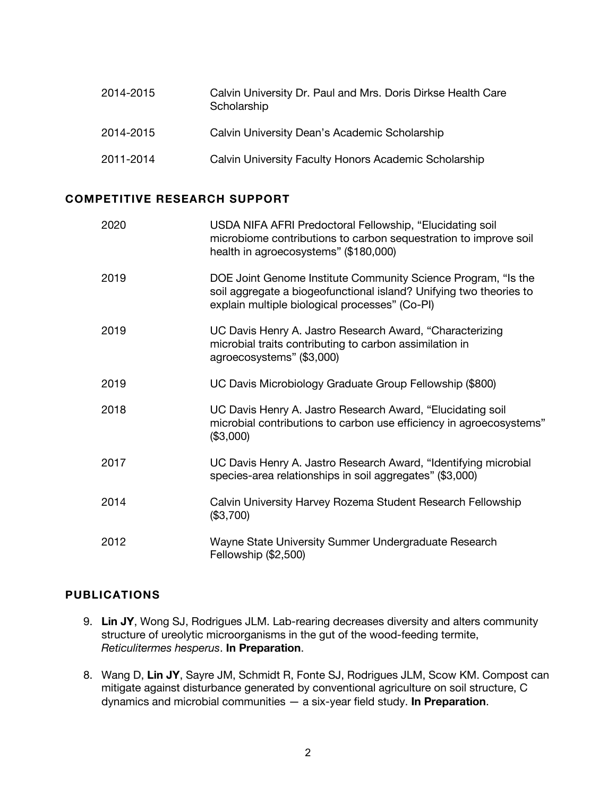| 2014-2015 | Calvin University Dr. Paul and Mrs. Doris Dirkse Health Care<br>Scholarship |
|-----------|-----------------------------------------------------------------------------|
| 2014-2015 | Calvin University Dean's Academic Scholarship                               |
| 2011-2014 | Calvin University Faculty Honors Academic Scholarship                       |

#### **COMPETITIVE RESEARCH SUPPORT**

| 2020 | USDA NIFA AFRI Predoctoral Fellowship, "Elucidating soil<br>microbiome contributions to carbon sequestration to improve soil<br>health in agroecosystems" (\$180,000)                 |
|------|---------------------------------------------------------------------------------------------------------------------------------------------------------------------------------------|
| 2019 | DOE Joint Genome Institute Community Science Program, "Is the<br>soil aggregate a biogeofunctional island? Unifying two theories to<br>explain multiple biological processes" (Co-PI) |
| 2019 | UC Davis Henry A. Jastro Research Award, "Characterizing<br>microbial traits contributing to carbon assimilation in<br>agroecosystems" (\$3,000)                                      |
| 2019 | UC Davis Microbiology Graduate Group Fellowship (\$800)                                                                                                                               |
| 2018 | UC Davis Henry A. Jastro Research Award, "Elucidating soil<br>microbial contributions to carbon use efficiency in agroecosystems"<br>(\$3,000)                                        |
| 2017 | UC Davis Henry A. Jastro Research Award, "Identifying microbial<br>species-area relationships in soil aggregates" (\$3,000)                                                           |
| 2014 | Calvin University Harvey Rozema Student Research Fellowship<br>(\$3,700)                                                                                                              |
| 2012 | Wayne State University Summer Undergraduate Research<br>Fellowship (\$2,500)                                                                                                          |

#### **PUBLICATIONS**

- 9. **Lin JY**, Wong SJ, Rodrigues JLM. Lab-rearing decreases diversity and alters community structure of ureolytic microorganisms in the gut of the wood-feeding termite, *Reticulitermes hesperus*. **In Preparation**.
- 8. Wang D, **Lin JY**, Sayre JM, Schmidt R, Fonte SJ, Rodrigues JLM, Scow KM. Compost can mitigate against disturbance generated by conventional agriculture on soil structure, C dynamics and microbial communities — a six-year field study. **In Preparation**.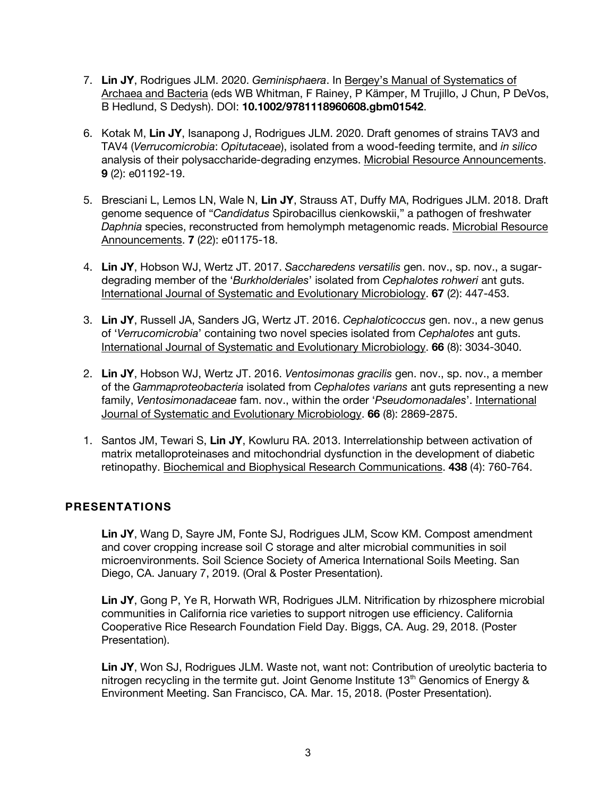- 7. **Lin JY**, Rodrigues JLM. 2020. *Geminisphaera*. In Bergey's Manual of Systematics of Archaea and Bacteria (eds WB Whitman, F Rainey, P Kämper, M Trujillo, J Chun, P DeVos, B Hedlund, S Dedysh). DOI: **10.1002/9781118960608.gbm01542**.
- 6. Kotak M, **Lin JY**, Isanapong J, Rodrigues JLM. 2020. Draft genomes of strains TAV3 and TAV4 (*Verrucomicrobia*: *Opitutaceae*), isolated from a wood-feeding termite, and *in silico* analysis of their polysaccharide-degrading enzymes. Microbial Resource Announcements. **9** (2): e01192-19.
- 5. Bresciani L, Lemos LN, Wale N, **Lin JY**, Strauss AT, Duffy MA, Rodrigues JLM. 2018. Draft genome sequence of "*Candidatus* Spirobacillus cienkowskii," a pathogen of freshwater *Daphnia* species, reconstructed from hemolymph metagenomic reads. Microbial Resource Announcements. **7** (22): e01175-18.
- 4. **Lin JY**, Hobson WJ, Wertz JT. 2017. *Saccharedens versatilis* gen. nov., sp. nov., a sugardegrading member of the '*Burkholderiales*' isolated from *Cephalotes rohweri* ant guts. International Journal of Systematic and Evolutionary Microbiology. **67** (2): 447-453.
- 3. **Lin JY**, Russell JA, Sanders JG, Wertz JT. 2016. *Cephaloticoccus* gen. nov., a new genus of '*Verrucomicrobia*' containing two novel species isolated from *Cephalotes* ant guts. International Journal of Systematic and Evolutionary Microbiology. **66** (8): 3034-3040.
- 2. **Lin JY**, Hobson WJ, Wertz JT. 2016. *Ventosimonas gracilis* gen. nov., sp. nov., a member of the *Gammaproteobacteria* isolated from *Cephalotes varians* ant guts representing a new family, *Ventosimonadaceae* fam. nov., within the order '*Pseudomonadales*'. International Journal of Systematic and Evolutionary Microbiology. **66** (8): 2869-2875.
- 1. Santos JM, Tewari S, **Lin JY**, Kowluru RA. 2013. Interrelationship between activation of matrix metalloproteinases and mitochondrial dysfunction in the development of diabetic retinopathy. Biochemical and Biophysical Research Communications. **438** (4): 760-764.

# **PRESENTATIONS**

**Lin JY**, Wang D, Sayre JM, Fonte SJ, Rodrigues JLM, Scow KM. Compost amendment and cover cropping increase soil C storage and alter microbial communities in soil microenvironments. Soil Science Society of America International Soils Meeting. San Diego, CA. January 7, 2019. (Oral & Poster Presentation).

**Lin JY**, Gong P, Ye R, Horwath WR, Rodrigues JLM. Nitrification by rhizosphere microbial communities in California rice varieties to support nitrogen use efficiency. California Cooperative Rice Research Foundation Field Day. Biggs, CA. Aug. 29, 2018. (Poster Presentation).

**Lin JY**, Won SJ, Rodrigues JLM. Waste not, want not: Contribution of ureolytic bacteria to nitrogen recycling in the termite gut. Joint Genome Institute 13<sup>th</sup> Genomics of Energy & Environment Meeting. San Francisco, CA. Mar. 15, 2018. (Poster Presentation).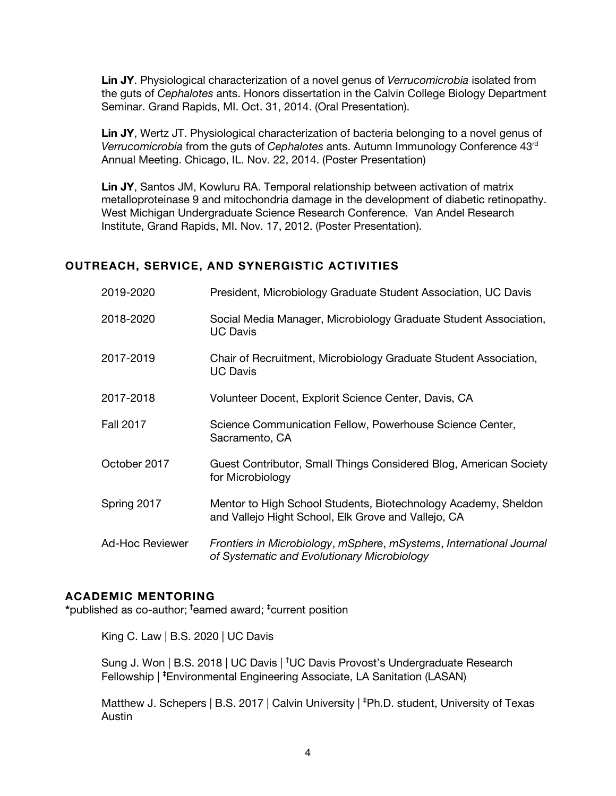**Lin JY**. Physiological characterization of a novel genus of *Verrucomicrobia* isolated from the guts of *Cephalotes* ants. Honors dissertation in the Calvin College Biology Department Seminar. Grand Rapids, MI. Oct. 31, 2014. (Oral Presentation).

**Lin JY**, Wertz JT. Physiological characterization of bacteria belonging to a novel genus of *Verrucomicrobia* from the guts of *Cephalotes* ants. Autumn Immunology Conference 43rd Annual Meeting. Chicago, IL. Nov. 22, 2014. (Poster Presentation)

**Lin JY**, Santos JM, Kowluru RA. Temporal relationship between activation of matrix metalloproteinase 9 and mitochondria damage in the development of diabetic retinopathy. West Michigan Undergraduate Science Research Conference. Van Andel Research Institute, Grand Rapids, MI. Nov. 17, 2012. (Poster Presentation).

#### **OUTREACH, SERVICE, AND SYNERGISTIC ACTIVITIES**

| 2019-2020        | President, Microbiology Graduate Student Association, UC Davis                                                        |
|------------------|-----------------------------------------------------------------------------------------------------------------------|
| 2018-2020        | Social Media Manager, Microbiology Graduate Student Association,<br><b>UC Davis</b>                                   |
| 2017-2019        | Chair of Recruitment, Microbiology Graduate Student Association,<br><b>UC Davis</b>                                   |
| 2017-2018        | Volunteer Docent, Explorit Science Center, Davis, CA                                                                  |
| <b>Fall 2017</b> | Science Communication Fellow, Powerhouse Science Center,<br>Sacramento, CA                                            |
| October 2017     | Guest Contributor, Small Things Considered Blog, American Society<br>for Microbiology                                 |
| Spring 2017      | Mentor to High School Students, Biotechnology Academy, Sheldon<br>and Vallejo Hight School, Elk Grove and Vallejo, CA |
| Ad-Hoc Reviewer  | Frontiers in Microbiology, mSphere, mSystems, International Journal<br>of Systematic and Evolutionary Microbiology    |

#### **ACADEMIC MENTORING**

**\***published as co-author; **†** earned award; **‡** current position

King C. Law | B.S. 2020 | UC Davis

Sung J. Won | B.S. 2018 | UC Davis | **†** UC Davis Provost's Undergraduate Research Fellowship | **‡** Environmental Engineering Associate, LA Sanitation (LASAN)

Matthew J. Schepers | B.S. 2017 | Calvin University | **‡** Ph.D. student, University of Texas Austin